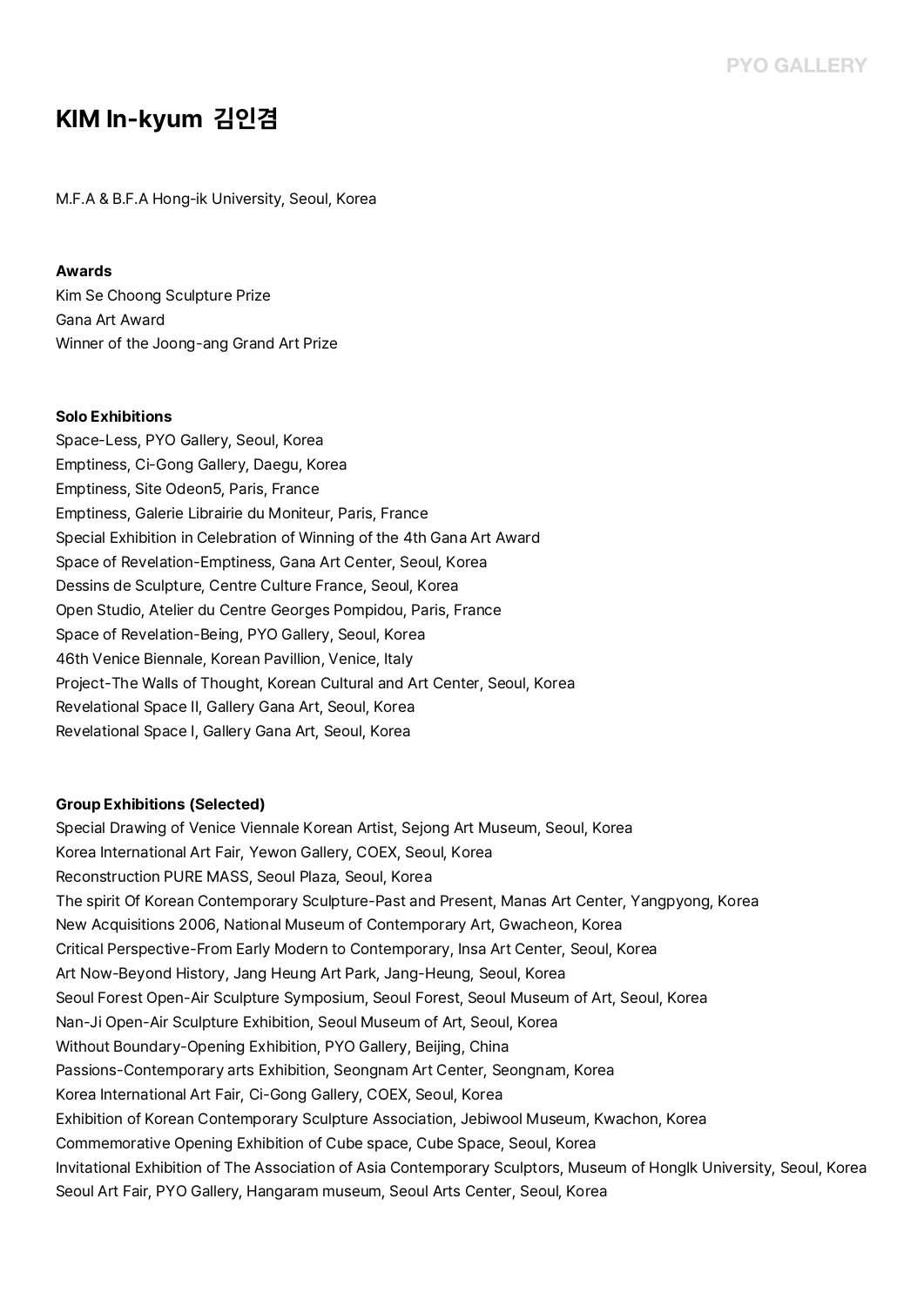## **KIM In-kyum 김인겸**

M.F.A & B.F.A Hong-ik University, Seoul, Korea

## **Awards**

Kim Se Choong Sculpture Prize Gana Art Award Winner of the Joong-ang Grand Art Prize

## **Solo Exhibitions**

Space-Less, PYO Gallery, Seoul, Korea Emptiness, Ci-Gong Gallery, Daegu, Korea Emptiness, Site Odeon5, Paris, France Emptiness, Galerie Librairie du Moniteur, Paris, France Special Exhibition in Celebration of Winning of the 4th Gana Art Award Space of Revelation-Emptiness, Gana Art Center, Seoul, Korea Dessins de Sculpture, Centre Culture France, Seoul, Korea Open Studio, Atelier du Centre Georges Pompidou, Paris, France Space of Revelation-Being, PYO Gallery, Seoul, Korea 46th Venice Biennale, Korean Pavillion, Venice, Italy Project-The Walls of Thought, Korean Cultural and Art Center, Seoul, Korea Revelational Space II, Gallery Gana Art, Seoul, Korea Revelational Space I, Gallery Gana Art, Seoul, Korea

## **Group Exhibitions (Selected)**

Special Drawing of Venice Viennale Korean Artist, Sejong Art Museum, Seoul, Korea Korea International Art Fair, Yewon Gallery, COEX, Seoul, Korea Reconstruction PURE MASS, Seoul Plaza, Seoul, Korea The spirit Of Korean Contemporary Sculpture-Past and Present, Manas Art Center, Yangpyong, Korea New Acquisitions 2006, National Museum of Contemporary Art, Gwacheon, Korea Critical Perspective-From Early Modern to Contemporary, Insa Art Center, Seoul, Korea Art Now-Beyond History, Jang Heung Art Park, Jang-Heung, Seoul, Korea Seoul Forest Open-Air Sculpture Symposium, Seoul Forest, Seoul Museum of Art, Seoul, Korea Nan-Ji Open-Air Sculpture Exhibition, Seoul Museum of Art, Seoul, Korea Without Boundary-Opening Exhibition, PYO Gallery, Beijing, China Passions-Contemporary arts Exhibition, Seongnam Art Center, Seongnam, Korea Korea International Art Fair, Ci-Gong Gallery, COEX, Seoul, Korea Exhibition of Korean Contemporary Sculpture Association, Jebiwool Museum, Kwachon, Korea Commemorative Opening Exhibition of Cube space, Cube Space, Seoul, Korea Invitational Exhibition of The Association of Asia Contemporary Sculptors, Museum of HongIk University, Seoul, Korea Seoul Art Fair, PYO Gallery, Hangaram museum, Seoul Arts Center, Seoul, Korea